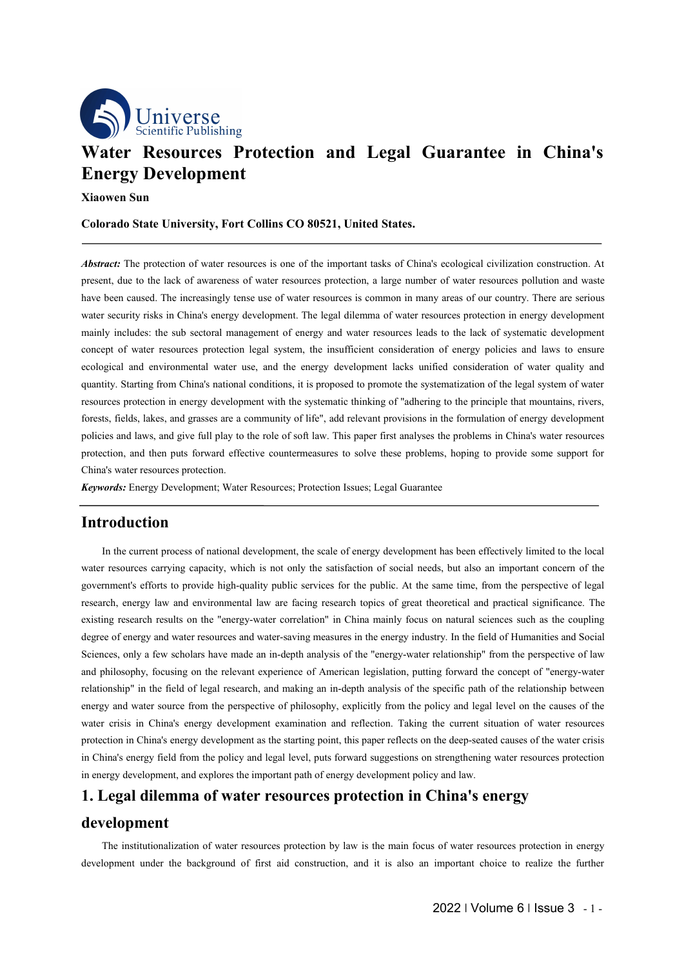

# **While Publishing**<br>
Water Resources Protection and Legal Guarantee in China's<br>
Energy Development<br>
Xiaowen Sun<br>
Colorado State University, Fort Collins CO 80521, United States. **Example 12 Scientific Publishing**<br> **Energy Development**<br> **Energy Development**<br> **Energy Development**<br> **Energy Development**<br> **Energy Development**<br> **Colorado State University, Fort Collins CO 80521, United States. Xater Resources Protection and Legal Guarantee in China's<br>
<b>Xiaowen Sun**<br>
Colorado State University, Fort Collins CO 80521, United States. **Colorado State Universet Colorado State University, Fort Collins CO 80521, United States.**<br> **Colorado State University, Fort Collins CO 80521, United States.**<br> **Colorado State University, Fort Collins CO 80521, United Sta**

*Abstract:* The protection of water resources is one of the important tasks of China's ecological civilization construction. At <br>*Abstract:* The protection of water resources is one of the important tasks of China's ecolog *Present Free Series Concerners* **Protection** and Legal Guarantee in China's<br> **Energy Development**<br>
Xiaowen Sun<br>
Colorado State University, Fort Collins CO 80521, United States.<br> *Abstract:* The protection of water resourc **Water Resources Protection and Legal Guarantee in China's**<br> **Energy Development**<br>
Xiaowen Sun<br>
Colorado State University, Fort Collins CO 80521, United States.<br> *Abstract:* The protection of water resources is one of the **Energy Development**<br> **Colorado State University, Fort Collins CO 80521, United States.**<br> **Colorado State University, Fort Collins CO 80521, United States.**<br> **Abstract:** The protection of water resources is one of the impo **Example 16. Consequence Consequence Consequence Consequence Consequence Consequence Consequence Consequence Consequence Consequence Consequence Consequence Consequence Consequence Consequence Colorado State University, Fort Collins CO 80521, United States.**<br> **Colorado State University, Fort Collins CO 80521, United States.**<br> **Colorado State University, Fort resources is one of the important tasks of China's ec Colorado State University, Fort Collins CO 80521, United States.**<br> **Abstract:** The protection of water resources is one of the important tasks of China's ecological civilization construction. At present, due to the lack o **Abstract:** The protection of water resources is one of the important tasks of China's ecological civilization construction. At present, due to the lack of awareness of water resources protection, a large number of water r *Abstract:* The protection of water resources is one of the important tasks of China's ecological civilization construction. At present, due to the lack of awareness of water resources protection, a large number of water Forest that the block of a wareness of water resources protection, a large number of water resources pollution and wate<br>phase been caused. The increasingly tense use of water resources is common in many areas of our countr present, ute to the lack of awareness of water resources protection, a large number of water resources polition and waste<br>bare been caused. The incerasingly tense use of water resources is common in many areas of our count mate been caused. The increasingly tense use of water resources is common in many areas of our country. There are serious<br>water security risks in China's energy development. The legal dilemma of water resources protection water security risks in China's energy development. The regar<br>mainly includes: the sub sectoral management of energy and<br>concept of water resources protection legal system, the inst<br>ecological and environmental water use, *Keywords:* Energy Development; Water Resources; Protection Issues; Legal Guarantee **Energy** *Keywords:* Energy development lacks unified consideration of water quantity. Starting from China's national conditions, it is pr In the current process of national development, the scale of energy development provisions in the formulation of energy development<br>
In the current process and alws, and give full play to the role of soft law. This paper f

### **Introduction**

the current situation of water resources<br>the deep-seated causes of the water crisis<br>strengthening water resources protection<br>by and law.<br>**China's energy**<br>s of water resources protection in energy<br>important choice to realiz forests, fields, lakes, and grasses are a community of life", add relevant provisions in the formulation of energy development<br>policies and laws, and give full play to the role of soft law. This paper first analyses the pr policies and laws, and give full play to the role of soft law. This paper first analyses the problems in China's water resources<br>protection, and then puts forward effective countermeasures to solve these problems, hoping t protection, and then puts forward effective countermeasures to solve these problems, hoping to provide some support for China's water resources protection.<br> **Keywords:** Energy Development, Water Resources; Protection Issue China's water resources protection.<br> **Introduction**<br>
In the current process of national development, the scale of energy development has been effectively limited to the local<br>
vater resources carrying capacity, which is no **Expreords:** Energy Development; Water Resources; Protection Issues; Legal Guarantee<br>
In the current process of national development, the scale of energy development has been effectively limited to the local<br>
water resourc **Introduction**<br>In the current process of national development, the scale of energy development has been effectively limited to the local<br>water resources carrying capacity, which is not only the satisfaction of social needs **Introduction**<br>
In the current process of national development, the scale of energy development has been effectively limited to the local<br>
water resources carrying capacity, which is not only the satisfaction of social nee In the current process of national development, the scale of energy development has been effectively limited to the local<br>water resources carrying capacity, which is not only the satisfaction of social needs, but also an i In the culter plotess of hational development, the seare of elergy development has been energivey immed to the oral<br>water resources carrying equacity, which is not only the saisfaction of social needs, but also an importan water resources carrying capacity, wincin is not omy the sanstaction of social needs, out also all important concern of the peopernments' efforts for orbit exerge for the public. At the same time, from the perspective of l governments enors to provide mgn-quanty public services for the public. At the same time, noni the perspective of legar<br>research, energy law and environmental law are facing research topics of great theoretical and practic iseactin, energy law and environmental raw are facing research topics or great ineoretical and plactical significance. The existing research results on the "energy-water correlation" in China mainly fotes on natural scienc Existing research results on the energy-water corretation in Clinia harmly locus on hatural scences such as the coupling<br>degree of energy and water resources and water-saving measures in the energy industry. In the field o **1. Legal dilemma of water resources protection in occur and the convention of social reds, but also an important concern of the government's efforts to provide high-quality public services for the public. At the same time** Example in the institutionalization of the institutionalization of the season of the season of the present of the main for the energetive of philosophy, explicitly from the policy and legal level on the causes of the resis Extramely and water ensis in China's energy development examination and reflection. Taking the current situation of water resources<br>protection in China's energy development as the starting point, this paper reflects on the

### **development**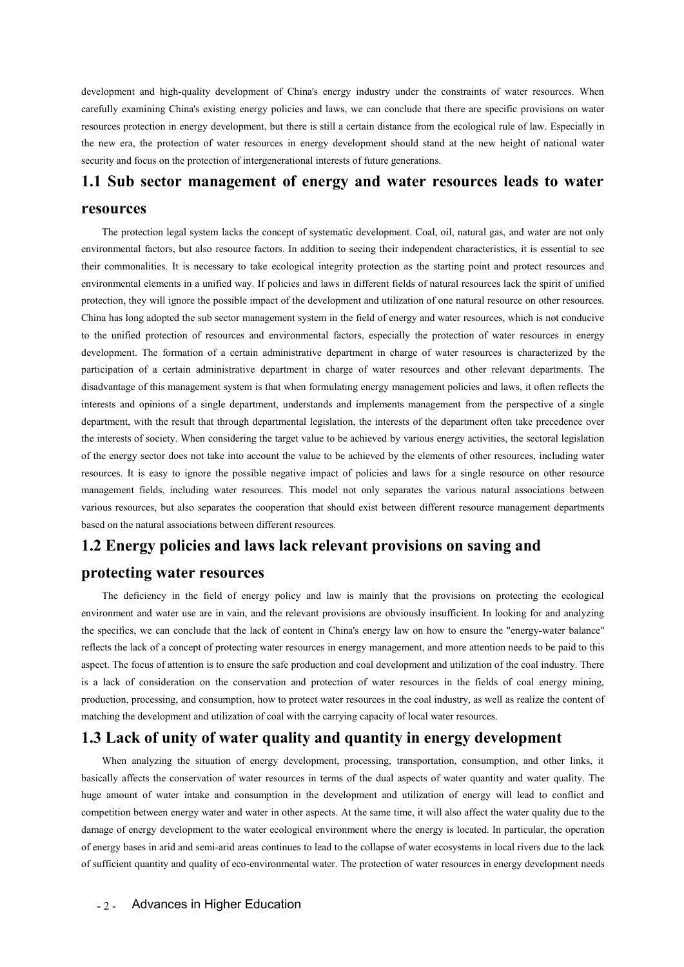development and high-quality development of China's energy industry under the constraints of water resources. When<br>carefully examining China's existing energy policies and laws, we can conclude that there are specific prov development and high-quality development of China's energy industry under the constraints of water resources. When<br>carefully examining China's existing energy policies and laws, we can conclude that there are specific prov development and high-quality development of China's energy industry under the constraints of water resources. When<br>carefully examining China's existing energy policies and laws, we can conclude that there are specific prov development and high-quality development of China's energy industry under the constraints of water resources. When<br>carefully examining China's existing energy policies and laws, we can conclude that there are specific prov development and high-quality development of China's energy industry under the constraints of water resocarefully examining China's existing energy policies and laws, we can conclude that there are specific provision resoca development and high-quality development of China's energy industry under the constraints of water resources. When<br>carefully examining China's existing energy policies and laws, we can conclude that there are specific prov Internal sign-quality development of China's energy industry under the constraints of water resources. When<br>
I multiply examining China's existing energy policies and laws, we can conclude that there are specific provision

## **resources**

environmental enters, but also resources and the constrained that there are specific provisions on water<br>resources protection in energy development, but there is still a certain distance from the ecological rule of law. Es the messary of the messary to the example the protection as the starting of the starting tendent and the ecological rule of law. Especially in<br>the new era, the protection of water resources in energy development should sta Environmental elements in a unified way. If policies and laws in different fields of natural exact the spirit of natural elements in a unified way. If policies are entropy and water resources leads to water resources The p protection, they will ignore the natural resources in each galaxies of future generations.<br> **1.1** Sub sector management of energy and water resources leads to water<br>
resources<br>
The protection legal system lacks the concept **1.1 Sub sector management of energy and water resources leads to water resources**<br>
The protection legal system lacks the concept of systematic development. Coal, oil, natural gas, and water are not only<br>
environmental fac 1.1 SUD Sector management of energy and water resources leads to water<br>
resources<br>
The protection legal system lacks the concept of systematic development. Coal, oil, natural gas, and water are not only<br>
environmental fact **TESOUITCES**<br>The protection legal system lacks the concept of systematic development. Coal, oil, natural gas, and water are not only<br>environmental factors, but also resource factors. In addition to seeing their independent The protection legal system lacks the concept of systematic development. Coal, oil, natural gas, and water are not only<br>environmental factors, but also resource factors. In addition to seeing their independent characterist The protection regal system tacks une contept or systematic development. Coat, on, natural gas, and water are not omy<br>environmental factors, but also resource factors. In dadition to seeing their independent characteristic environmental racions, our also resource racions. In adution to seeing metr interpendent characteristics, it is sessential to see<br>their commental itsens in tas necessary to take ecological integrity protection as the start ment element is in in a unified way. If policies and laws in different fields of natural resources lates the spirit of unified protection, they will ignore the possible impact of the development and utilization of one natu environmental elements in a united way. It poices and laws in uniterent neuts of natural resources lack the spirit of unined<br>
China has long adopted the subsible impact of the development and utilization of one natural res procection, they will globe the possible impact of the development and unitzation of one natural resources, this inst conductive<br>China has long adopted the sub sector management system in the field of energy and water reso China has long adopted the sub-sector inangement system in the fled or elegy and water resources, which is not conductive<br>to the unified protection of resources and environmental factors, especially the protection of vater The formation of a certain advision and environmental racions, especially the protection of water resources in energy<br>development. The formation of a certain administrative department in charge of water resources is charac development. The formation of a certain administrative department in charge of water resources is characterized by the participation of a certain administrative department in charge of water resources and oher relevant dep participation of a certain administrative department in charge of water resources and<br>disadvantage of this management system is that when formulating energy management pointerests and opinions of a single department, under procession, usey win agoor to accourate the caterooping and surface of the field of energy and water resources, which is not conductive to the unified protection of resources and environmental factors, especially the prote to the unified protection of resources and environmental factors, especially the proteor development. The formation of a certain administrative department in charge of wat participation of a certain administrative departme The energy sector does not take into account the value to be achieved by the elements of other resources, including water<br>reces. It is easy to ignore the possible negative impact of policies and laws for a single resource

Environment and water the mass were interested on the relevant of places are interested, meaning environment fields, including water resources. This model not only separates the various natural associations between various The specifics, including water resources. This model not only separates the various natural associations between<br>various resources, but also separates the cooperation that should exist between different resource management reflects the lack of a concept of protecting water resources in energy management, and more attention of the conception  $\mu$  and  $\mu$  **protecting water resources**  $\mathbf{1.2}$  **Energy policies and laws lack relevant provisio** Assed on the natural associations between different resources.<br> **1.2 Energy policies and laws lack relevant provisions on saving and**<br> **protecting water resources**<br>
The deficiency in the field of energy policy and law is m **1.2 Energy policies and laws lack relevant provisions on saving and**<br> **protecting water resources**<br>
The deficiency in the field of energy policy and law is mainly that the provisions on protecting the ecological<br>
environm **Production, processing, and consumption, how to protect water resources** in the consumption of **Saving** and **provisions** on protecting the ecological environment and water use are in vain, and the relevant provisions are more exact ing water all of energy policy and law is mainly that the provisions on protecting the ecological<br>environment and water use are in vain, and the relevant provisions are obviously insufficient. In looking for and various resources, but also separates the cooperation that should exist between different resource management departments<br>based on the natural associations between different resources.<br> **1.2 Energy policies and laws lack r** moment and water use are in vain, and the relevant provisions are obviously insufficient. In looking for and analyzing<br>pecifics, we can conclude that the lack of content in China's energy haw on how to ensure the "energy-w the specifics, we can conclude that the lack of content in China's energy law on how to ensure the "energy-water balance"<br>reflects the lack of a concept of protecting water resources in energy management, and more attentio

ching the development and utilization of coal with the carrying capacity of local water resources.<br> **3 Lack of unity of water quality and quantity in energy dev**<br>
When analyzing the situation of energy development, proces reflects the lack of a concept of protecting water resources in energy management, and more attention needs to be paid to this aspect. The focus of attention is to ensure the safe production and coal development and utiliz aspect. The focus of attention is to ensure the safe production and coal development and utilization of the coal industry. There is a lack of consideration on the conservation and protection of water resources in the field is a lack of consideration on the conservation and protection of water resources in the fields of coal energy mining, production, processing, and consumption, how to protect water resources in the coal industry, as well as production, processing, and consumption, how to protect water resources in the coal industry, as well as realize the content of matching the development and utilization of coal with the carrying capacity of local water res matching the development and utilization of coal with the carrying capacity of local water resources.<br> **1.3 Lack of unity of water quality and quantity in energy development**<br>
When analyzing the situation of energy develop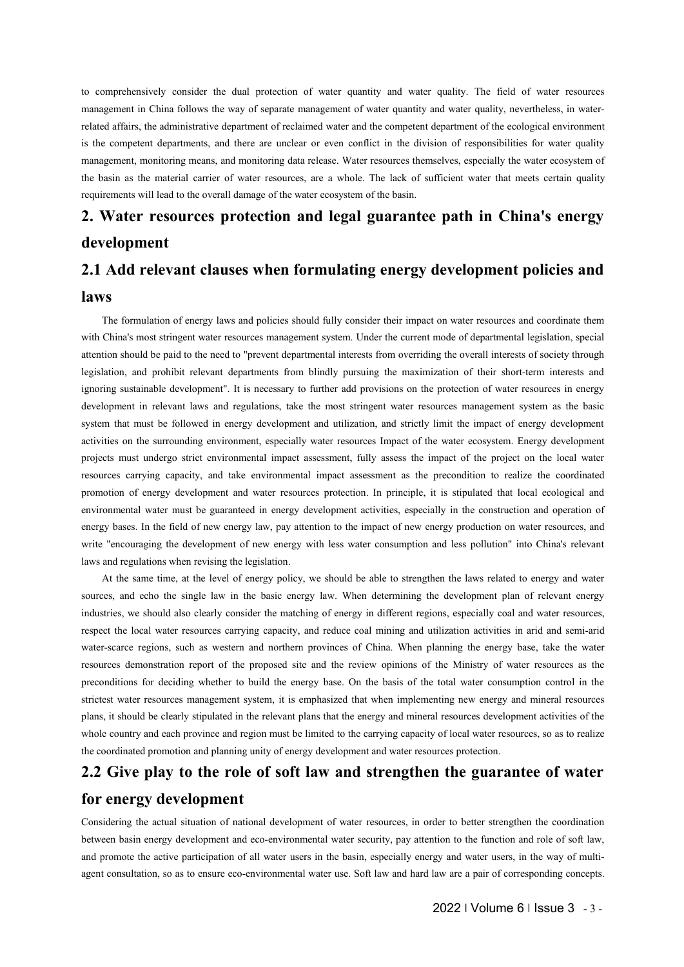to comprehensively consider the dual protection of water quantity and water quality. The field of water resources<br>management in China follows the way of separate management of water quantity and water quality, nevertheless The comprehensively consider the dual protection of water quantity and water quality. The field of water resources management in China follows the way of separate management of water quantity and water quality, nevertheles to comprehensively consider the dual protection of water quantity and water quality. The field of water resources management in China follows the way of separate management of water quantity and water quality, nevertheless It is the comprehensively consider the dual protection of water quantity and water quality. The field of water resources management in China follows the way of separate management of water quantity and water quality, never to comprehensively consider the dual protection of water quantity and water quality. The field of water resources management in China follows the way of separate management of water quantity and water quality, nevertheless to comprehensively consider the dual protection of water quantity and water quality. The field of water resources management in China follows the way of separate management of water quantity and water quality, nevertheless to comprehensively consider the dual protection of water quantity and water quality. The field of water management in China follows the way of separate management of water quantity and water quality, neverthele related aff **2. Water resources protection and legal guarantee path in China's energy**<br> **2. Add relevant class with the matter of the construction** of water quality. The field of water resources<br>
pronugagement in China follows the way to comprehensively consider the dual protection of water quantity and water quality. The field of water resources management in China follows the way of separate management of water quantity and water quality, nevertheless

# **development**

# **laws**

It is the material carrier of water resources, are a whole. The lack of sufficient water that meets certain quality<br> **Water resources protection and legal guarantee path in China's energy<br>
Elopment<br>
Add relevant clauses wh** requirements will lead to the overall damage of the water ecosystem of the basin.<br>
2. Water resources protection and legal guarantee path in China's energy<br>
development<br>
2.1 Add relevant clauses when formulating energy dev **2. Water resources protection and legal guarantee path in China's energy development**<br>**2.1 Add relevant clauses when formulating energy development policies and**<br>**laws**<br>The formulation of energy laws and policies should f 2. Water Tesourtes protection and regar guarantee path in Clinia's energy<br>development<br>2.1 Add relevant clauses when formulating energy development policies and<br>laws<br>The formulation of energy laws and policies should fully **2.1 Add relevant clauses when formulating energy development policies and<br>
laws**<br>
The formulation of energy laws and policies should fully consider their impact on water resources and coordinate them<br>
with China's most st **2.1 Add relevant clauses when formulating energy development policies and laws**<br>The formulation of energy laws and policies should fully consider their impact on water resources and coordinate them<br>with China's most strin **EXECT A FORT CHATT CHATTS CHATTS THE MUST AND A THE SECT THAT MUST A THE SECT THAT MUST A THE FORMULT AND A THE FORMULT AND A THE FORMULT AND A THE FORMULT AND A THE FORMULT AND A THE STRICT AND NOT DEVITED AND A THE MUST IAWS**<br>The formulation of energy laws and policies should fully consider their impact on water resources and coordinate them<br>with China's most stringent water resources management system. Under the current mode of departme The formulation of energy laws and policies should fully consider their impact on water resources and coordinate them<br>with China's most stringent water resources management system. Under the current mode of departmental le The formulation of energy laws and poinces shoutul mily consider their impact of water resources and coordinate them<br>twith China's most stringent water resources management system. Under the current mode of departmental le which climates most sumgent water resources management system. Onder the current mode of departmental registation, special<br>detection of the big to the need to "prevent departmental interests from overriding the overall int atterition shout of part to the need to prevent departmental metests from overlating the overal interests of society unough<br>degrisation, and probibit relevant departments from blindly pursuing the maximization of their sho registation, and polition televant departments from omluly pursuing the maximization of them stoches in increases and<br>geologroment in relevant laws and regulations, take the most stringent water resources management system manumeration relevant laws and regulations, take the most stringent water resources management in relevant laws and regulations, take the most stringent water resources manumeral system that must be followed in energy deve development in relevant laws and regulations, take the most stringent wat<br>system that must be followed in energy development and utilization, and s<br>activities on the surrounding environmental impact assessment, fully asses It is on the surrounding environment, especially water resources Impact of the water coosystem. Energy development<br>ticts must undergo strict environmental, empedd ansess ment of the water coosystem. Energy development<br>trac sources, must undergy entrommental impact and resources impact of the water ecosystem, Energy development propiets must undergy obstremental impact assessment as the impact of the project on the local varier precisions, re projects intst undergo strict environmentar impact assessment, tuny assess the impact of the product on the food water<br>resources carrying capacity, and take environmental impact assessment as the precondition to realize th

responses carrying capacity, and take environmental impact assessment as the pectonation to rearize the coolumnated<br>environmental water resources protection. In principle, it is situated that local ecological and<br>environme promotion of energy development and water resources protection. In pincipie, it is supurated uat rocal ecological and<br>environmental water must be guaranted in energy development activities, especially in the construction a Environmental water inust or guaranteed in energy to verophiem activities, espectany in the construction and operation of the weight procedures in the field of new energy bases. In the field of new energy bases in the fiel energy bases. In the letto of teve energy taw, pay attention to the impact of thew energy protocolor on water "encourage the development of new energy with less water consumption and less pollution" into China's relevant l When encouraging the development of new energy with ress water consumption and ress pontation into China's retevant<br>alws and regulations when revising the legislation.<br>At the same time, at the level of energy policy, we sh At the same time, at the level of energy ploticy, we should be able to strengthen the laws related to energy and water<br>At the same time, at the level of energy ploticy, we should be able to strengthen the laws related to e At the same time, at the tever of energy poincy, we should be able to strengthen the taws related to energy and water<br>sources, and echo the single law in the basic energy law. When determining the development plan of relev sources, and echo de single taw in the oast energy taw. When determining the development plan of levevant energy<br>industries, we should also clearly consider the matching of energy in different regions, especially coal and **2.2 Give Day to the value of soft law and strengthen the guarantee of water energy development of metals protective and register of the same time, at the level of energy policy, we should be able to strengthen the laws re** laws and regulations when revising the legislation.<br>At the same time, at the level of energy policy, we should be able to s<br>sources, and echo the single law in the basic energy law. When determin<br>industries, we should also Exercise to deter the actual situation of the actual situation of the situation of the situation of the situation of the deter to build the energy base. On the basis of the total water consumption control in the strictest between basin energy development to water users in the basin, especially energy and mineral resources in the coordinated in the relevant plans that the energy and mineral resources the whole country and each province and r

**Example 12** and the set of several variances of the y of local water resources, so as to realize urces protection.<br> **n** the guarantee of water<br>
der to better strengthen the coordination<br>
tion to the function and role of s and promote water was all melastic points. The activation promote participation provides the whole country and each province and region must be limited to the carrying capacity of local water resources, so as to realize th whole country and each province and region must be limited to the carrying capacity of local water resources, so as to realize the coordinated promotion and planning unity of energy development and water resources protect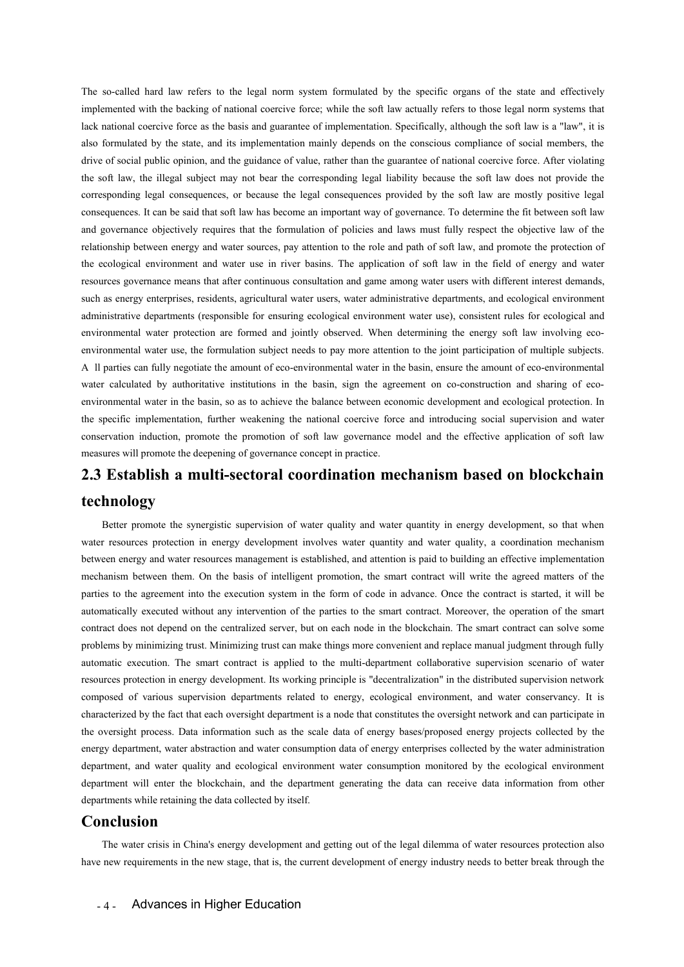The so-called hard law refers to the legal norm system formulated by the specific organs of the state and effectively<br>implemented with the backing of national coercive force; while the soft law actually refers to those leg The so-called hard law refers to the legal norm system formulated by the specific organs of the state and effectively<br>implemented with the backing of national coercive force; while the soft law actually refers to those leg The so-called hard law refers to the legal norm system formulated by the specific organs of the state and effectively<br>implemented with the backing of national coercive force; while the soft law actually refers to those leg The so-called hard law refers to the legal norm system formulated by the specific organs of the state and effectively implemented with the backing of national coercive force; while the soft law actually refers to those leg The so-called hard law refers to the legal norm system formulated by the specific organs of the state and effectively<br>implemented with the backing of national coercive force; while the soft law actually refers to those leg The so-called hard law refers to the legal norm system formulated by the specific organs of the state and effectively<br>implemented with the backing of national coercive force; while the soft law actually refers to those leg The so-called hard law refers to the legal norm system formulated by the specific organs of the state and effectively<br>implemented with the backing of national coercive force; while the soft law actually refers to those leg The so-called hard law refers to the legal norm system formulated by the specific organs of the state and effectively<br>implemented with the backing of national coercive force; while the soft law actually refers to those leg The so-called hard law refers to the legal norm system formulated by the specific organs of the state and effectively implemented with the backing of national coercive force; while the soft law actually refers to those leg The so-canced natu taw tests to the tegat nonin system formulated by the specific dyacted in the backing of national corrective force; while the soft law actually refers to those legal norm systems that inneplementation fo mipemented with the backing of national coefficies of implementation. Specifically, although the soft law is a lack national coefficies of members, the lake national coefficies and ignaramtee of implementation. Specificall resources governance means that simplementation mainly depends on the consolisor comulated by the state, and its implementation mainly depends on the constrained or Social members, the drive of social members of social mem suso ioninated by the state, and its imprementation manny depents on the consistos compilative of social members, the driver of social problem. And the guidance of value rather than the guiancal coercive force. After viola and the soft law, the illegal subject may not bear the corresponding legal liability because the soft law whose net for ensure and interest of the soft law are mostly positive legal consequences, or because the legal conse Ine son taw, the inegar surject hay not beat the corresponding regar nabiny because the soft law vices not provide the corresponding legal consequences, the soft law is soft due soft law are mostly positive legal consequen corresponding regar consequences, or occulase the regar consequences provided by the soft taw are missity positive regar<br>and governance objectively requires that the formulation of policies and laws must fully respect the consequences. It can be sand urat sont taw has become an important way of governance. To determine the in the extreme in the amount of policies and gas must fully respect the objective law of the relationship between energ and given and given energy and water sures that the formulation of pointers and laws must thuy respect the objective taw of the cological environment and water success, pay at the role and path of soft law, and promote the enaulossimp between energy and water sources, pay attention to the tote and pain of soft law in the field of energy and water the ecological environment and water serocores governance means that after continuous consultati the econogical environment and water use in river basins. The application of sort taw in the fierd of energy and water<br>tresportes governance means that after continuous consultation and game among water users, with differe Essuries governance means that atter comminous consultantin and game almong water users win untereln interest demans, such as energy enterprises, residents, agricultural water users, water administrative departments (respo such as energy emerphises, residents, agricultural water users, water administrative departments, and<br>administrative departments (responsible for ensuring ecological environment water use), consistent i<br>environmental water and protenance ospects or equine since a multi-sectoral coordination preservation is possible between energy and water sueues, pay attention to the role and path of soft law, and promote the protection of the ecological an Fraction and the synergistic institutions in the basin, sign the argement on co-construction and sharing of eco-<br>commental water in the basin, so as to achieve the balance between economic development and ecological protec

# **technology**

rate interior of one rate that each oversight department is a node that constructs the oversight here oversight process. Data information such as the scale data of energy bases/proposed energy department, water abstraction water contracted by cancelering the method, we want the community and the specific implementation, further weakening the national coercive force and introducing social supervision and water<br>conservation induction, promote the specific implementation, further weakening the national coercive force and introducing social supervision and water<br>conservation induction, promote the promotion of soft law governance model and the effective applicati meshanism between them. On the basis of intelligent promotion, the smart contract will promote the deepening of governance concept in practice.<br>
2.3 Establish a multi-sectoral coordination mechanism based on blockchain<br>
te measures will promote the deepening of governance concept in practice.<br> **2.3 Establish a multi-sectoral coordination mechanism based on blockchain**<br> **2.3 Establish a multi-sectoral coordination mechanism based on blockchai 2.3 Establish a multi-sectoral coordination mechanism based on blockchain**<br> **acchivation and the particle of the particle without any intervention**  $\frac{1}{2}$  and  $\frac{1}{2}$  and  $\frac{1}{2}$  and  $\frac{1}{2}$  and  $\frac{1}{2}$  and **C.3 ESTADIISH A MIHTI-SECTOTAI COOTGINATION MECHANISM DASED ON DIOCKCHAIN**<br> **Ecchnology**<br>
Better promote the synergistic supervision of water quality and water quantity in energy development, so that when<br>
water resource **fechnology**<br>Better promote the synergistic supervision of water quality and water quantity in energy development, so that when<br>water resources protection in energy development involves water quantity and water quality, a Better promote the synergistic supervision of water quality and water quantity in energy development, so that when<br>water resources protection in energy development involves water quantity and water quality, a coordination betue promote the synetgystic supervision of water quantity and water quantity in energy development, so that when<br>value resources protection in energy development involves water quantity and water quality, a coordination water resources protection in energy development involves water quantity and water quantity, a coordination hechanism<br>between energy and water resources management is established, and attention is paid to building an effec between energy and water resources management is establistical, and attention is parafolic obtuining an effective implementation<br>parafolic parafolic parafolic promotion, the smart contract will write the agreed materials<br>p meenanism between unin. Of the basis of intelligent promotion, the smart contract win write the equest mattes of the<br>automatically executed without any intervention of the particle smart contract. Moreover, the operation, parties to the agreement imo the execution system in the form of code in advance. Once the contract is stated, it win our and contract does not depend on the enertralized server, the on each node in the blockchain. The sma adioniatively executed windult any intervention of the parties to the sinari contract. Moreover, the operation of the sinari<br>contract does not depend on the centralized server, but on each node in the blockchain. The smart connact does not depend on the centralized sever, out on each node in the blockchain. The smart connact can sove some<br>problems by minimizing trust. Minimizing trust can make things more convenient and replace manual judgme problems by minimizing trust. Minimizing trust can make timigs more convenient and reatomatic execution. The smart contract is applied to the multi-department collaboresources protection in energy development. Its working oosed of various supervision departments related to energy, ecological environment, and water conservancy. It is<br>teterized by the fact that each oversight department is a node that constitutes the oversight network and can characterized by the fact that each oversight department is a node that constitutes the oversight network and can participate in<br>the oversight process. Data information such as the scale data of energy bases/proposed energ

### **Conclusion**